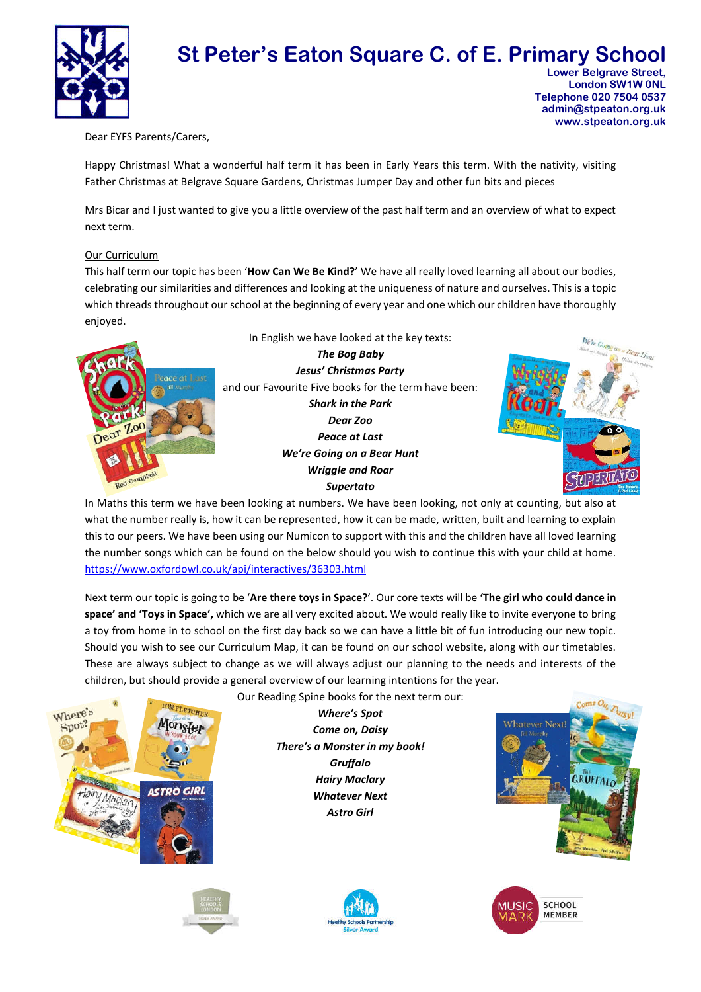

# **St Peter's Eaton Square C. of E. Primary School Lower Belgrave Street.**

 **London SW1W 0NL Telephone 020 7504 0537 admin@stpeaton.org.uk www.stpeaton.org.uk**

Dear EYFS Parents/Carers,

Happy Christmas! What a wonderful half term it has been in Early Years this term. With the nativity, visiting Father Christmas at Belgrave Square Gardens, Christmas Jumper Day and other fun bits and pieces

Mrs Bicar and I just wanted to give you a little overview of the past half term and an overview of what to expect next term.

### Our Curriculum

This half term our topic has been '**How Can We Be Kind?**' We have all really loved learning all about our bodies, celebrating our similarities and differences and looking at the uniqueness of nature and ourselves. This is a topic which threads throughout our school at the beginning of every year and one which our children have thoroughly enjoyed.





In Maths this term we have been looking at numbers. We have been looking, not only at counting, but also at what the number really is, how it can be represented, how it can be made, written, built and learning to explain this to our peers. We have been using our Numicon to support with this and the children have all loved learning the number songs which can be found on the below should you wish to continue this with your child at home. https://www.oxfordowl.co.uk/api/interactives/36303.html

Next term our topic is going to be '**Are there toys in Space?**'. Our core texts will be **'The girl who could dance in space' and 'Toys in Space',** which we are all very excited about. We would really like to invite everyone to bring a toy from home in to school on the first day back so we can have a little bit of fun introducing our new topic. Should you wish to see our Curriculum Map, it can be found on our school website, along with our timetables. These are always subject to change as we will always adjust our planning to the needs and interests of the children, but should provide a general overview of our learning intentions for the year.

Our Reading Spine books for the next term our:





*Where's Spot Come on, Daisy There's a Monster in my book! Gruffalo Hairy Maclary Whatever Next Astro Girl*